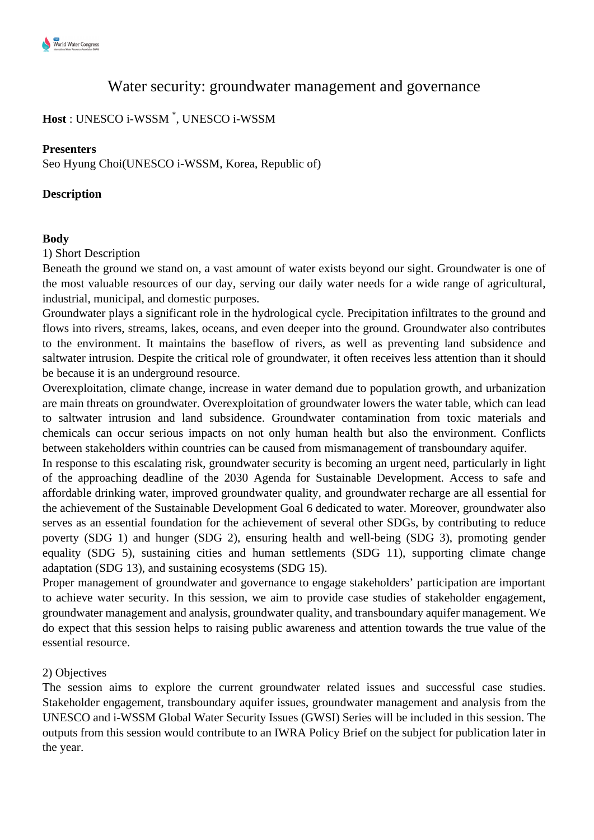# Water security: groundwater management and governance

# **Host** : UNESCO i-WSSM \* , UNESCO i-WSSM

#### **Presenters**

Seo Hyung Choi(UNESCO i-WSSM, Korea, Republic of)

#### **Description**

#### **Body**

1) Short Description

Beneath the ground we stand on, a vast amount of water exists beyond our sight. Groundwater is one of the most valuable resources of our day, serving our daily water needs for a wide range of agricultural, industrial, municipal, and domestic purposes.

Groundwater plays a significant role in the hydrological cycle. Precipitation infiltrates to the ground and flows into rivers, streams, lakes, oceans, and even deeper into the ground. Groundwater also contributes to the environment. It maintains the baseflow of rivers, as well as preventing land subsidence and saltwater intrusion. Despite the critical role of groundwater, it often receives less attention than it should be because it is an underground resource.

Overexploitation, climate change, increase in water demand due to population growth, and urbanization are main threats on groundwater. Overexploitation of groundwater lowers the water table, which can lead to saltwater intrusion and land subsidence. Groundwater contamination from toxic materials and chemicals can occur serious impacts on not only human health but also the environment. Conflicts between stakeholders within countries can be caused from mismanagement of transboundary aquifer.

In response to this escalating risk, groundwater security is becoming an urgent need, particularly in light of the approaching deadline of the 2030 Agenda for Sustainable Development. Access to safe and affordable drinking water, improved groundwater quality, and groundwater recharge are all essential for the achievement of the Sustainable Development Goal 6 dedicated to water. Moreover, groundwater also serves as an essential foundation for the achievement of several other SDGs, by contributing to reduce poverty (SDG 1) and hunger (SDG 2), ensuring health and well-being (SDG 3), promoting gender equality (SDG 5), sustaining cities and human settlements (SDG 11), supporting climate change adaptation (SDG 13), and sustaining ecosystems (SDG 15).

Proper management of groundwater and governance to engage stakeholders' participation are important to achieve water security. In this session, we aim to provide case studies of stakeholder engagement, groundwater management and analysis, groundwater quality, and transboundary aquifer management. We do expect that this session helps to raising public awareness and attention towards the true value of the essential resource.

#### 2) Objectives

The session aims to explore the current groundwater related issues and successful case studies. Stakeholder engagement, transboundary aquifer issues, groundwater management and analysis from the UNESCO and i-WSSM Global Water Security Issues (GWSI) Series will be included in this session. The outputs from this session would contribute to an IWRA Policy Brief on the subject for publication later in the year.